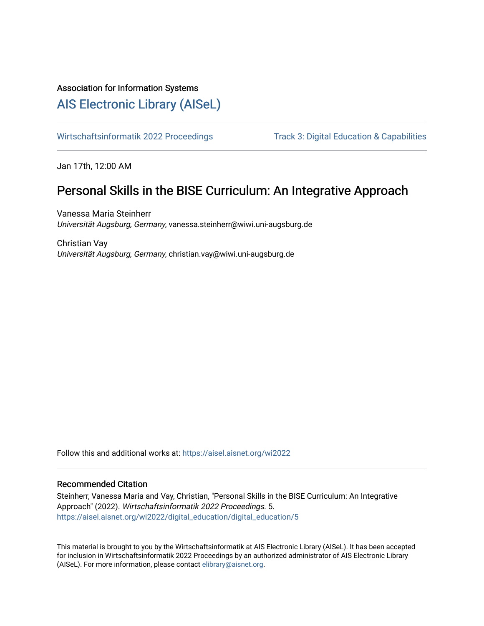### Association for Information Systems

## [AIS Electronic Library \(AISeL\)](https://aisel.aisnet.org/)

[Wirtschaftsinformatik 2022 Proceedings](https://aisel.aisnet.org/wi2022) Track 3: Digital Education & Capabilities

Jan 17th, 12:00 AM

# Personal Skills in the BISE Curriculum: An Integrative Approach

Vanessa Maria Steinherr Universität Augsburg, Germany, vanessa.steinherr@wiwi.uni-augsburg.de

Christian Vay Universität Augsburg, Germany, christian.vay@wiwi.uni-augsburg.de

Follow this and additional works at: [https://aisel.aisnet.org/wi2022](https://aisel.aisnet.org/wi2022?utm_source=aisel.aisnet.org%2Fwi2022%2Fdigital_education%2Fdigital_education%2F5&utm_medium=PDF&utm_campaign=PDFCoverPages) 

#### Recommended Citation

Steinherr, Vanessa Maria and Vay, Christian, "Personal Skills in the BISE Curriculum: An Integrative Approach" (2022). Wirtschaftsinformatik 2022 Proceedings. 5. [https://aisel.aisnet.org/wi2022/digital\\_education/digital\\_education/5](https://aisel.aisnet.org/wi2022/digital_education/digital_education/5?utm_source=aisel.aisnet.org%2Fwi2022%2Fdigital_education%2Fdigital_education%2F5&utm_medium=PDF&utm_campaign=PDFCoverPages) 

This material is brought to you by the Wirtschaftsinformatik at AIS Electronic Library (AISeL). It has been accepted for inclusion in Wirtschaftsinformatik 2022 Proceedings by an authorized administrator of AIS Electronic Library (AISeL). For more information, please contact [elibrary@aisnet.org](mailto:elibrary@aisnet.org%3E).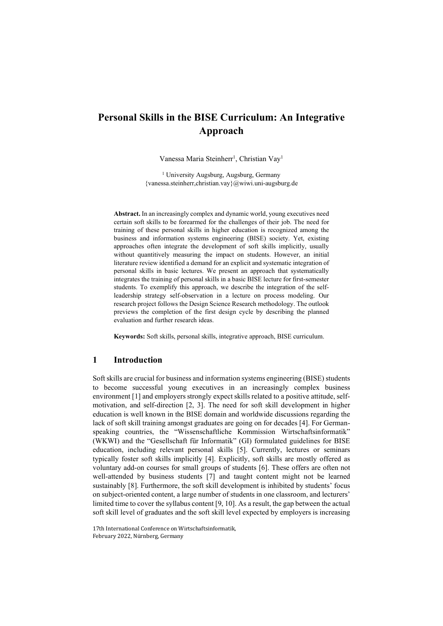### Personal Skills in the BISE Curriculum: An Integrative Approach

Vanessa Maria Steinherr<sup>1</sup>, Christian Vay<sup>1</sup>

<sup>1</sup> University Augsburg, Augsburg, Germany {vanessa.steinherr,christian.vay}@wiwi.uni-augsburg.de

Abstract. In an increasingly complex and dynamic world, young executives need certain soft skills to be forearmed for the challenges of their job. The need for training of these personal skills in higher education is recognized among the business and information systems engineering (BISE) society. Yet, existing approaches often integrate the development of soft skills implicitly, usually without quantitively measuring the impact on students. However, an initial literature review identified a demand for an explicit and systematic integration of personal skills in basic lectures. We present an approach that systematically integrates the training of personal skills in a basic BISE lecture for first-semester students. To exemplify this approach, we describe the integration of the selfleadership strategy self-observation in a lecture on process modeling. Our research project follows the Design Science Research methodology. The outlook previews the completion of the first design cycle by describing the planned evaluation and further research ideas.

Keywords: Soft skills, personal skills, integrative approach, BISE curriculum.

#### 1 Introduction

Soft skills are crucial for business and information systems engineering (BISE) students to become successful young executives in an increasingly complex business environment [1] and employers strongly expect skills related to a positive attitude, selfmotivation, and self-direction [2, 3]. The need for soft skill development in higher education is well known in the BISE domain and worldwide discussions regarding the lack of soft skill training amongst graduates are going on for decades [4]. For Germanspeaking countries, the "Wissenschaftliche Kommission Wirtschaftsinformatik" (WKWI) and the "Gesellschaft für Informatik" (GI) formulated guidelines for BISE education, including relevant personal skills [5]. Currently, lectures or seminars typically foster soft skills implicitly [4]. Explicitly, soft skills are mostly offered as voluntary add-on courses for small groups of students [6]. These offers are often not well-attended by business students [7] and taught content might not be learned sustainably [8]. Furthermore, the soft skill development is inhibited by students' focus on subject-oriented content, a large number of students in one classroom, and lecturers' limited time to cover the syllabus content [9, 10]. As a result, the gap between the actual soft skill level of graduates and the soft skill level expected by employers is increasing

17th International Conference on Wirtschaftsinformatik, February 2022, Nürnberg, Germany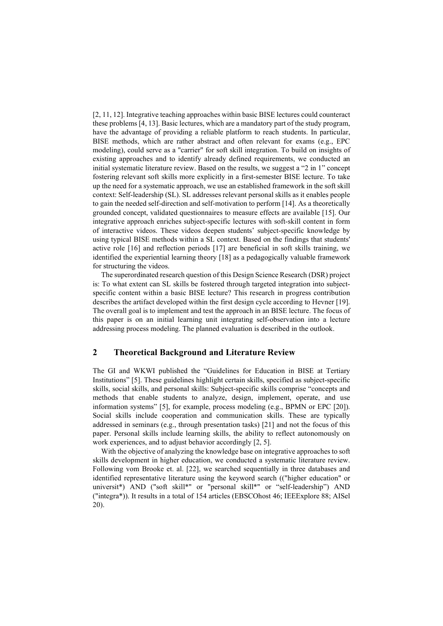[2, 11, 12]. Integrative teaching approaches within basic BISE lectures could counteract these problems [4, 13]. Basic lectures, which are a mandatory part of the study program, have the advantage of providing a reliable platform to reach students. In particular, BISE methods, which are rather abstract and often relevant for exams (e.g., EPC modeling), could serve as a "carrier" for soft skill integration. To build on insights of existing approaches and to identify already defined requirements, we conducted an initial systematic literature review. Based on the results, we suggest a "2 in 1" concept fostering relevant soft skills more explicitly in a first-semester BISE lecture. To take up the need for a systematic approach, we use an established framework in the soft skill context: Self-leadership (SL). SL addresses relevant personal skills as it enables people to gain the needed self-direction and self-motivation to perform [14]. As a theoretically grounded concept, validated questionnaires to measure effects are available [15]. Our integrative approach enriches subject-specific lectures with soft-skill content in form of interactive videos. These videos deepen students' subject-specific knowledge by using typical BISE methods within a SL context. Based on the findings that students' active role [16] and reflection periods [17] are beneficial in soft skills training, we identified the experiential learning theory [18] as a pedagogically valuable framework for structuring the videos.

The superordinated research question of this Design Science Research (DSR) project is: To what extent can SL skills be fostered through targeted integration into subjectspecific content within a basic BISE lecture? This research in progress contribution describes the artifact developed within the first design cycle according to Hevner [19]. The overall goal is to implement and test the approach in an BISE lecture. The focus of this paper is on an initial learning unit integrating self-observation into a lecture addressing process modeling. The planned evaluation is described in the outlook.

#### 2 Theoretical Background and Literature Review

The GI and WKWI published the "Guidelines for Education in BISE at Tertiary Institutions" [5]. These guidelines highlight certain skills, specified as subject-specific skills, social skills, and personal skills: Subject-specific skills comprise "concepts and methods that enable students to analyze, design, implement, operate, and use information systems" [5], for example, process modeling (e.g., BPMN or EPC [20]). Social skills include cooperation and communication skills. These are typically addressed in seminars (e.g., through presentation tasks) [21] and not the focus of this paper. Personal skills include learning skills, the ability to reflect autonomously on work experiences, and to adjust behavior accordingly [2, 5].

With the objective of analyzing the knowledge base on integrative approaches to soft skills development in higher education, we conducted a systematic literature review. Following vom Brooke et. al. [22], we searched sequentially in three databases and identified representative literature using the keyword search (("higher education" or universit\*) AND ("soft skill\*" or "personal skill\*" or "self-leadership") AND ("integra\*)). It results in a total of 154 articles (EBSCOhost 46; IEEExplore 88; AISel 20).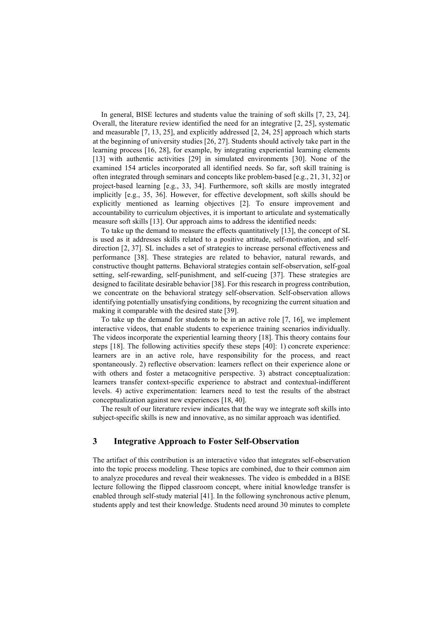In general, BISE lectures and students value the training of soft skills [7, 23, 24]. Overall, the literature review identified the need for an integrative [2, 25], systematic and measurable [7, 13, 25], and explicitly addressed [2, 24, 25] approach which starts at the beginning of university studies [26, 27]. Students should actively take part in the learning process [16, 28], for example, by integrating experiential learning elements [13] with authentic activities [29] in simulated environments [30]. None of the examined 154 articles incorporated all identified needs. So far, soft skill training is often integrated through seminars and concepts like problem-based [e.g., 21, 31, 32] or project-based learning [e.g., 33, 34]. Furthermore, soft skills are mostly integrated implicitly [e.g., 35, 36]. However, for effective development, soft skills should be explicitly mentioned as learning objectives [2]. To ensure improvement and accountability to curriculum objectives, it is important to articulate and systematically measure soft skills [13]. Our approach aims to address the identified needs:

To take up the demand to measure the effects quantitatively [13], the concept of SL is used as it addresses skills related to a positive attitude, self-motivation, and selfdirection [2, 37]. SL includes a set of strategies to increase personal effectiveness and performance [38]. These strategies are related to behavior, natural rewards, and constructive thought patterns. Behavioral strategies contain self-observation, self-goal setting, self-rewarding, self-punishment, and self-cueing [37]. These strategies are designed to facilitate desirable behavior [38]. For this research in progress contribution, we concentrate on the behavioral strategy self-observation. Self-observation allows identifying potentially unsatisfying conditions, by recognizing the current situation and making it comparable with the desired state [39].

To take up the demand for students to be in an active role [7, 16], we implement interactive videos, that enable students to experience training scenarios individually. The videos incorporate the experiential learning theory [18]. This theory contains four steps [18]. The following activities specify these steps [40]: 1) concrete experience: learners are in an active role, have responsibility for the process, and react spontaneously. 2) reflective observation: learners reflect on their experience alone or with others and foster a metacognitive perspective. 3) abstract conceptualization: learners transfer context-specific experience to abstract and contextual-indifferent levels. 4) active experimentation: learners need to test the results of the abstract conceptualization against new experiences [18, 40].

The result of our literature review indicates that the way we integrate soft skills into subject-specific skills is new and innovative, as no similar approach was identified.

#### 3 Integrative Approach to Foster Self-Observation

The artifact of this contribution is an interactive video that integrates self-observation into the topic process modeling. These topics are combined, due to their common aim to analyze procedures and reveal their weaknesses. The video is embedded in a BISE lecture following the flipped classroom concept, where initial knowledge transfer is enabled through self-study material [41]. In the following synchronous active plenum, students apply and test their knowledge. Students need around 30 minutes to complete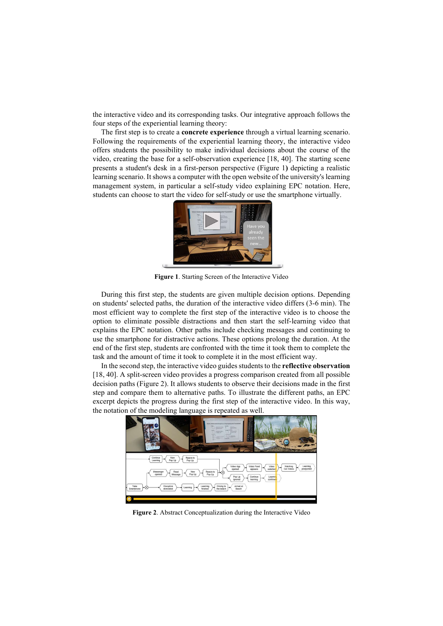the interactive video and its corresponding tasks. Our integrative approach follows the four steps of the experiential learning theory:

The first step is to create a concrete experience through a virtual learning scenario. Following the requirements of the experiential learning theory, the interactive video offers students the possibility to make individual decisions about the course of the video, creating the base for a self-observation experience [18, 40]. The starting scene presents a student's desk in a first-person perspective (Figure 1) depicting a realistic learning scenario. It shows a computer with the open website of the university's learning management system, in particular a self-study video explaining EPC notation. Here, students can choose to start the video for self-study or use the smartphone virtually.



Figure 1. Starting Screen of the Interactive Video

During this first step, the students are given multiple decision options. Depending on students' selected paths, the duration of the interactive video differs (3-6 min). The most efficient way to complete the first step of the interactive video is to choose the option to eliminate possible distractions and then start the self-learning video that explains the EPC notation. Other paths include checking messages and continuing to use the smartphone for distractive actions. These options prolong the duration. At the end of the first step, students are confronted with the time it took them to complete the task and the amount of time it took to complete it in the most efficient way.

In the second step, the interactive video guides students to the reflective observation [18, 40]. A split-screen video provides a progress comparison created from all possible decision paths (Figure 2). It allows students to observe their decisions made in the first step and compare them to alternative paths. To illustrate the different paths, an EPC excerpt depicts the progress during the first step of the interactive video. In this way, the notation of the modeling language is repeated as well.



Figure 2. Abstract Conceptualization during the Interactive Video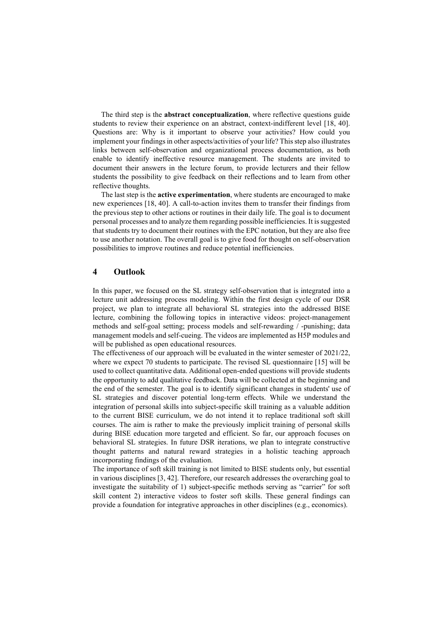The third step is the abstract conceptualization, where reflective questions guide students to review their experience on an abstract, context-indifferent level [18, 40]. Questions are: Why is it important to observe your activities? How could you implement your findings in other aspects/activities of your life? This step also illustrates links between self-observation and organizational process documentation, as both enable to identify ineffective resource management. The students are invited to document their answers in the lecture forum, to provide lecturers and their fellow students the possibility to give feedback on their reflections and to learn from other reflective thoughts.

The last step is the active experimentation, where students are encouraged to make new experiences [18, 40]. A call-to-action invites them to transfer their findings from the previous step to other actions or routines in their daily life. The goal is to document personal processes and to analyze them regarding possible inefficiencies. It is suggested that students try to document their routines with the EPC notation, but they are also free to use another notation. The overall goal is to give food for thought on self-observation possibilities to improve routines and reduce potential inefficiencies.

#### 4 Outlook

In this paper, we focused on the SL strategy self-observation that is integrated into a lecture unit addressing process modeling. Within the first design cycle of our DSR project, we plan to integrate all behavioral SL strategies into the addressed BISE lecture, combining the following topics in interactive videos: project-management methods and self-goal setting; process models and self-rewarding / -punishing; data management models and self-cueing. The videos are implemented as H5P modules and will be published as open educational resources.

The effectiveness of our approach will be evaluated in the winter semester of 2021/22, where we expect 70 students to participate. The revised SL questionnaire [15] will be used to collect quantitative data. Additional open-ended questions will provide students the opportunity to add qualitative feedback. Data will be collected at the beginning and the end of the semester. The goal is to identify significant changes in students' use of SL strategies and discover potential long-term effects. While we understand the integration of personal skills into subject-specific skill training as a valuable addition to the current BISE curriculum, we do not intend it to replace traditional soft skill courses. The aim is rather to make the previously implicit training of personal skills during BISE education more targeted and efficient. So far, our approach focuses on behavioral SL strategies. In future DSR iterations, we plan to integrate constructive thought patterns and natural reward strategies in a holistic teaching approach incorporating findings of the evaluation.

The importance of soft skill training is not limited to BISE students only, but essential in various disciplines [3, 42]. Therefore, our research addresses the overarching goal to investigate the suitability of 1) subject-specific methods serving as "carrier" for soft skill content 2) interactive videos to foster soft skills. These general findings can provide a foundation for integrative approaches in other disciplines (e.g., economics).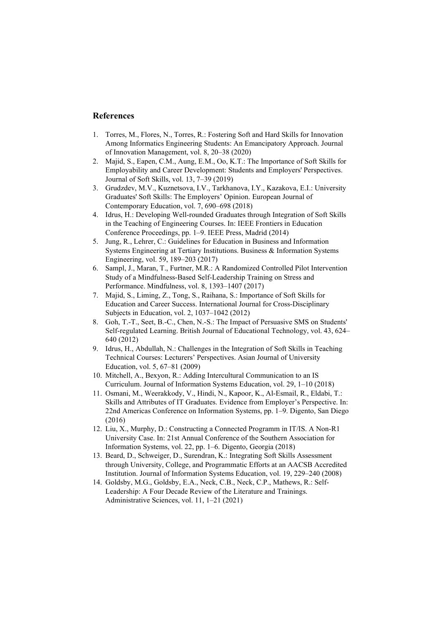#### References

- 1. Torres, M., Flores, N., Torres, R.: Fostering Soft and Hard Skills for Innovation Among Informatics Engineering Students: An Emancipatory Approach. Journal of Innovation Management, vol. 8, 20–38 (2020)
- 2. Majid, S., Eapen, C.M., Aung, E.M., Oo, K.T.: The Importance of Soft Skills for Employability and Career Development: Students and Employers' Perspectives. Journal of Soft Skills, vol. 13, 7–39 (2019)
- 3. Grudzdev, M.V., Kuznetsova, I.V., Tarkhanova, I.Y., Kazakova, E.I.: University Graduates' Soft Skills: The Employers' Opinion. European Journal of Contemporary Education, vol. 7, 690–698 (2018)
- 4. Idrus, H.: Developing Well-rounded Graduates through Integration of Soft Skills in the Teaching of Engineering Courses. In: IEEE Frontiers in Education Conference Proceedings, pp. 1–9. IEEE Press, Madrid (2014)
- 5. Jung, R., Lehrer, C.: Guidelines for Education in Business and Information Systems Engineering at Tertiary Institutions. Business & Information Systems Engineering, vol. 59, 189–203 (2017)
- 6. Sampl, J., Maran, T., Furtner, M.R.: A Randomized Controlled Pilot Intervention Study of a Mindfulness-Based Self-Leadership Training on Stress and Performance. Mindfulness, vol. 8, 1393–1407 (2017)
- 7. Majid, S., Liming, Z., Tong, S., Raihana, S.: Importance of Soft Skills for Education and Career Success. International Journal for Cross-Disciplinary Subjects in Education, vol. 2, 1037–1042 (2012)
- 8. Goh, T.-T., Seet, B.-C., Chen, N.-S.: The Impact of Persuasive SMS on Students' Self-regulated Learning. British Journal of Educational Technology, vol. 43, 624– 640 (2012)
- 9. Idrus, H., Abdullah, N.: Challenges in the Integration of Soft Skills in Teaching Technical Courses: Lecturers' Perspectives. Asian Journal of University Education, vol. 5, 67–81 (2009)
- 10. Mitchell, A., Bexyon, R.: Adding Intercultural Communication to an IS Curriculum. Journal of Information Systems Education, vol. 29, 1–10 (2018)
- 11. Osmani, M., Weerakkody, V., Hindi, N., Kapoor, K., Al-Esmail, R., Eldabi, T.: Skills and Attributes of IT Graduates. Evidence from Employer's Perspective. In: 22nd Americas Conference on Information Systems, pp. 1–9. Digento, San Diego (2016)
- 12. Liu, X., Murphy, D.: Constructing a Connected Programm in IT/IS. A Non-R1 University Case. In: 21st Annual Conference of the Southern Association for Information Systems, vol. 22, pp. 1–6. Digento, Georgia (2018)
- 13. Beard, D., Schweiger, D., Surendran, K.: Integrating Soft Skills Assessment through University, College, and Programmatic Efforts at an AACSB Accredited Institution. Journal of Information Systems Education, vol. 19, 229–240 (2008)
- 14. Goldsby, M.G., Goldsby, E.A., Neck, C.B., Neck, C.P., Mathews, R.: Self-Leadership: A Four Decade Review of the Literature and Trainings. Administrative Sciences, vol. 11, 1–21 (2021)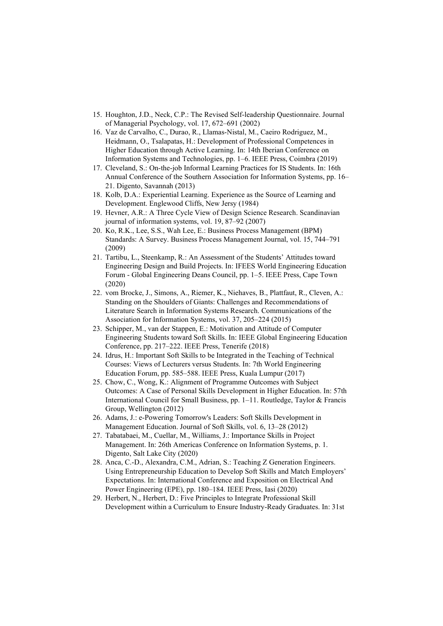- 15. Houghton, J.D., Neck, C.P.: The Revised Self‐leadership Questionnaire. Journal of Managerial Psychology, vol. 17, 672–691 (2002)
- 16. Vaz de Carvalho, C., Durao, R., Llamas-Nistal, M., Caeiro Rodriguez, M., Heidmann, O., Tsalapatas, H.: Development of Professional Competences in Higher Education through Active Learning. In: 14th Iberian Conference on Information Systems and Technologies, pp. 1–6. IEEE Press, Coimbra (2019)
- 17. Cleveland, S.: On-the-job Informal Learning Practices for IS Students. In: 16th Annual Conference of the Southern Association for Information Systems, pp. 16– 21. Digento, Savannah (2013)
- 18. Kolb, D.A.: Experiential Learning. Experience as the Source of Learning and Development. Englewood Cliffs, New Jersy (1984)
- 19. Hevner, A.R.: A Three Cycle View of Design Science Research. Scandinavian journal of information systems, vol. 19, 87–92 (2007)
- 20. Ko, R.K., Lee, S.S., Wah Lee, E.: Business Process Management (BPM) Standards: A Survey. Business Process Management Journal, vol. 15, 744–791 (2009)
- 21. Tartibu, L., Steenkamp, R.: An Assessment of the Students' Attitudes toward Engineering Design and Build Projects. In: IFEES World Engineering Education Forum - Global Engineering Deans Council, pp. 1–5. IEEE Press, Cape Town (2020)
- 22. vom Brocke, J., Simons, A., Riemer, K., Niehaves, B., Plattfaut, R., Cleven, A.: Standing on the Shoulders of Giants: Challenges and Recommendations of Literature Search in Information Systems Research. Communications of the Association for Information Systems, vol. 37, 205–224 (2015)
- 23. Schipper, M., van der Stappen, E.: Motivation and Attitude of Computer Engineering Students toward Soft Skills. In: IEEE Global Engineering Education Conference, pp. 217–222. IEEE Press, Tenerife (2018)
- 24. Idrus, H.: Important Soft Skills to be Integrated in the Teaching of Technical Courses: Views of Lecturers versus Students. In: 7th World Engineering Education Forum, pp. 585–588. IEEE Press, Kuala Lumpur (2017)
- 25. Chow, C., Wong, K.: Alignment of Programme Outcomes with Subject Outcomes: A Case of Personal Skills Development in Higher Education. In: 57th International Council for Small Business, pp. 1–11. Routledge, Taylor & Francis Group, Wellington (2012)
- 26. Adams, J.: e-Powering Tomorrow's Leaders: Soft Skills Development in Management Education. Journal of Soft Skills, vol. 6, 13–28 (2012)
- 27. Tabatabaei, M., Cuellar, M., Williams, J.: Importance Skills in Project Management. In: 26th Americas Conference on Information Systems, p. 1. Digento, Salt Lake City (2020)
- 28. Anca, C.-D., Alexandra, C.M., Adrian, S.: Teaching Z Generation Engineers. Using Entrepreneurship Education to Develop Soft Skills and Match Employers' Expectations. In: International Conference and Exposition on Electrical And Power Engineering (EPE), pp. 180–184. IEEE Press, Iasi (2020)
- 29. Herbert, N., Herbert, D.: Five Principles to Integrate Professional Skill Development within a Curriculum to Ensure Industry-Ready Graduates. In: 31st